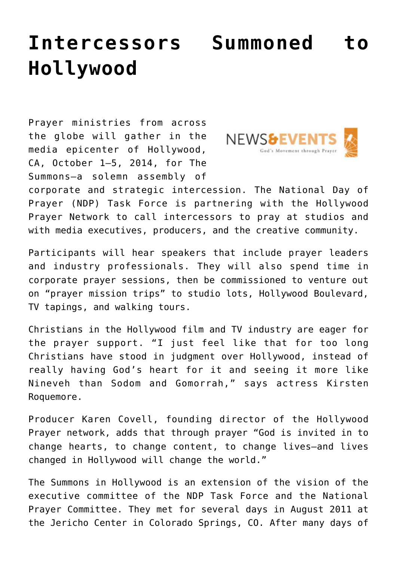## **[Intercessors Summoned to](https://www.prayerleader.com/intercessors-summoned-to-hollywood/) [Hollywood](https://www.prayerleader.com/intercessors-summoned-to-hollywood/)**

Prayer ministries from across the globe will gather in the media epicenter of Hollywood, CA, October 1–5, 2014, for The Summons—a solemn assembly of



corporate and strategic intercession. The National Day of Prayer (NDP) Task Force is partnering with the Hollywood Prayer Network to call intercessors to pray at studios and with media executives, producers, and the creative community.

Participants will hear speakers that include prayer leaders and industry professionals. They will also spend time in corporate prayer sessions, then be commissioned to venture out on "prayer mission trips" to studio lots, Hollywood Boulevard, TV tapings, and walking tours.

Christians in the Hollywood film and TV industry are eager for the prayer support. "I just feel like that for too long Christians have stood in judgment over Hollywood, instead of really having God's heart for it and seeing it more like Nineveh than Sodom and Gomorrah," says actress Kirsten Roquemore.

Producer Karen Covell, founding director of the Hollywood Prayer network, adds that through prayer "God is invited in to change hearts, to change content, to change lives—and lives changed in Hollywood will change the world."

The Summons in Hollywood is an extension of the vision of the executive committee of the NDP Task Force and the National Prayer Committee. They met for several days in August 2011 at the Jericho Center in Colorado Springs, CO. After many days of